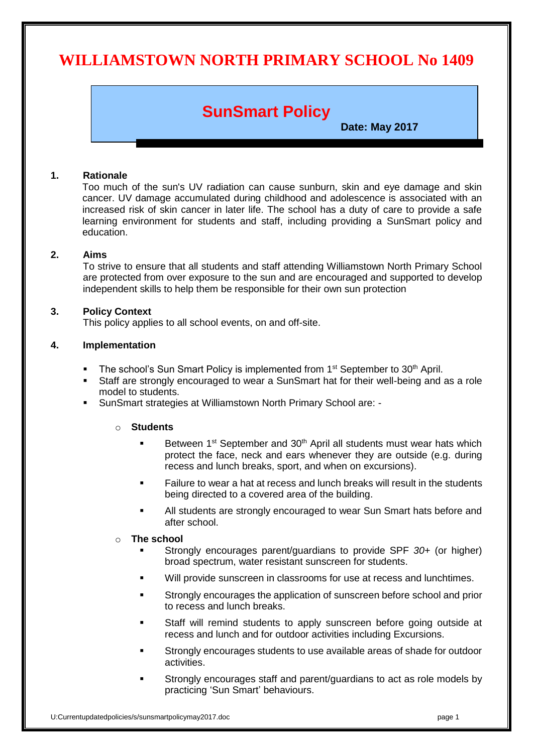# **WILLIAMSTOWN NORTH PRIMARY SCHOOL No 1409**

# **SunSmart Policy**

**Date: May 2017**

## **1. Rationale**

Too much of the sun's UV radiation can cause sunburn, skin and eye damage and skin cancer. UV damage accumulated during childhood and adolescence is associated with an increased risk of skin cancer in later life. The school has a duty of care to provide a safe learning environment for students and staff, including providing a SunSmart policy and education.

### **2. Aims**

To strive to ensure that all students and staff attending Williamstown North Primary School are protected from over exposure to the sun and are encouraged and supported to develop independent skills to help them be responsible for their own sun protection

#### **3. Policy Context**

This policy applies to all school events, on and off-site.

### **4. Implementation**

- The school's Sun Smart Policy is implemented from  $1<sup>st</sup>$  September to  $30<sup>th</sup>$  April.
- Staff are strongly encouraged to wear a SunSmart hat for their well-being and as a role model to students.
- SunSmart strategies at Williamstown North Primary School are: -

### o **Students**

- Between 1<sup>st</sup> September and 30<sup>th</sup> April all students must wear hats which protect the face, neck and ears whenever they are outside (e.g. during recess and lunch breaks, sport, and when on excursions).
- Failure to wear a hat at recess and lunch breaks will result in the students being directed to a covered area of the building.
- All students are strongly encouraged to wear Sun Smart hats before and after school.

#### o **The school**

- Strongly encourages parent/guardians to provide SPF *30*+ (or higher) broad spectrum, water resistant sunscreen for students.
- Will provide sunscreen in classrooms for use at recess and lunchtimes.
- Strongly encourages the application of sunscreen before school and prior to recess and lunch breaks.
- Staff will remind students to apply sunscreen before going outside at recess and lunch and for outdoor activities including Excursions.
- Strongly encourages students to use available areas of shade for outdoor activities.
- Strongly encourages staff and parent/guardians to act as role models by practicing 'Sun Smart' behaviours.